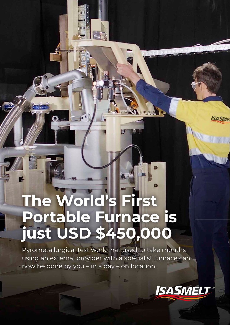# **The World's First Portable Furnace is just USD \$450,000**

Pyrometallurgical test work that used to take months using an external provider with a specialist furnace can now be done by you – in a day – on location.



**ISASME**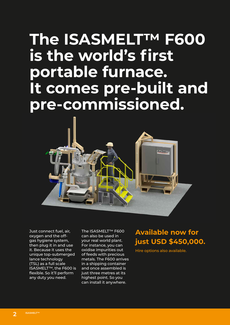# **The ISASMELT™ F600**  is the world's first **portable furnace. It comes pre-built and pre-commissioned.**



Just connect fuel, air, oxygen and the offgas hygiene system, then plug it in and use it. Because it uses the unique top-submerged lance technology (TSL) as a full scale ISASMELT™, the F600 is flexible. So it'll perform any duty you need.

The ISASMELT™ F600 can also be used in your real world plant. For instance, you can oxidise impurities out of feeds with precious metals. The F600 arrives in a shipping container and once assembled is just three metres at its highest point. So you can install it anywhere.

### **Available now for just USD \$450,000.**

Hire options also available.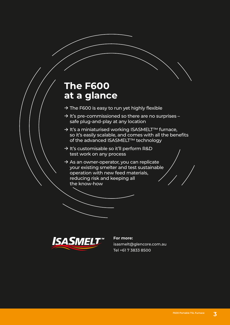## **The F600 at a glance**

- **>** The F600 is easy to run yet highly flexible
- **>** It's pre-commissioned so there are no surprises safe plug-and-play at any location
- **>** It's a miniaturised working ISASMELT™ furnace, so it's easily scalable, and comes with all the benefits of the advanced ISASMELT™ technology
- **>** It's customisable so it'll perform R&D test work on any process
- **>** As an owner-operator, you can replicate your existing smelter and test sustainable operation with new feed materials, reducing risk and keeping all the know-how



#### **For more:**

isasmelt@glencore.com.au Tel +61 7 3833 8500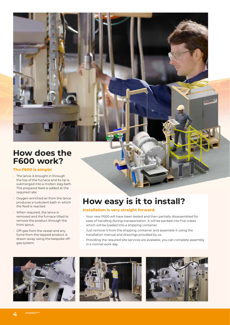### **How does the F600 work?**

#### **The F600 is simple:**

- The lance is brought in through the top of the furnace and its tip is submerged into a molten slag bath. The prepared feed is added at the required rate.
- Oxygen enriched air from the lance produces a turbulent bath in which the feed is reacted.
- When required, the lance is removed and the furnace tilted to remove the product through the front spout.
- Off-gas from the vessel and any fume from the tapped product is drawn away using the bespoke offgas system.

## **How easy is it to install?**

#### **Installation is very straight forward:**

- Your new F600 will have been tested and then partially disassembled for ease of handling during transportation. It will be packed into five crates which will be loaded into a shipping container.
- Just remove it from the shipping container and assemble it using the installation manual and drawings provided by us.
- Providing the required site services are available, you can complete assembly in a normal work day.







**ISASMELT**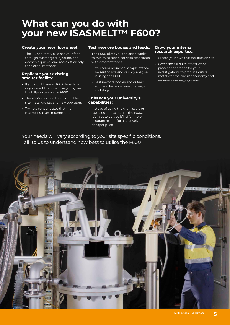## **What can you do with your new ISASMELT™ F600?**

#### **Create your new flow sheet:**

**•** The F600 directly oxidises your feed, through submerged injection, and does this quicker and more efficiently than other methods.

#### **Replicate your existing smelter facility:**

- If you don't have an R&D department or you want to modernise yours, use the fully customisable F600.
- The F600 is a great training tool for site metallurgists and new operators.
- Try new concentrates that the marketing team recommend.

#### **Test new ore bodies and feeds:**

- The F600 gives you the opportunity to minimise technical risks associated with different feeds.
	- You could request a sample of feed be sent to site and quickly analyse it using the F600.
	- Test new ore bodies and or feed sources like reprocessed tailings and slags.

#### **Enhance your university's capabilities:**

**•** Instead of using the gram scale or 100 kilogram scale, use the F600. It's in between, so it'll offer more accurate results for a relatively cheaper price.

#### **Grow your internal research expertise:**

- Create your own test facilities on site.
- Cover the full suite of test work process conditions for your investigations to produce critical metals for the circular economy and renewable energy systems.

Your needs will vary according to your site specific conditions. Talk to us to understand how best to utilise the F600